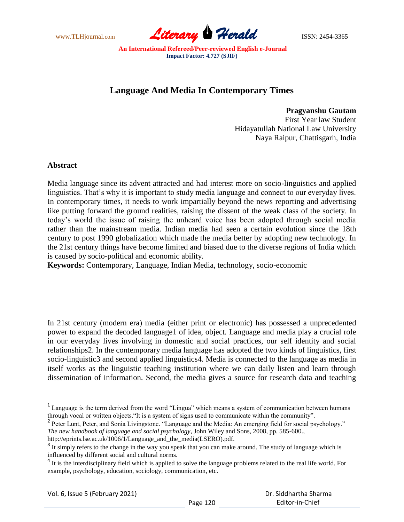

# **Language And Media In Contemporary Times**

**Pragyanshu Gautam**

First Year law Student Hidayatullah National Law University Naya Raipur, Chattisgarh, India

## **Abstract**

 $\overline{a}$ 

Media language since its advent attracted and had interest more on socio-linguistics and applied linguistics. That's why it is important to study media language and connect to our everyday lives. In contemporary times, it needs to work impartially beyond the news reporting and advertising like putting forward the ground realities, raising the dissent of the weak class of the society. In today"s world the issue of raising the unheard voice has been adopted through social media rather than the mainstream media. Indian media had seen a certain evolution since the 18th century to post 1990 globalization which made the media better by adopting new technology. In the 21st century things have become limited and biased due to the diverse regions of India which is caused by socio-political and economic ability.

**Keywords:** Contemporary, Language, Indian Media, technology, socio-economic

In 21st century (modern era) media (either print or electronic) has possessed a unprecedented power to expand the decoded language1 of idea, object. Language and media play a crucial role in our everyday lives involving in domestic and social practices, our self identity and social relationships2. In the contemporary media language has adopted the two kinds of linguistics, first socio-linguistic3 and second applied linguistics4. Media is connected to the language as media in itself works as the linguistic teaching institution where we can daily listen and learn through dissemination of information. Second, the media gives a source for research data and teaching

<sup>&</sup>lt;sup>1</sup> Language is the term derived from the word "Lingua" which means a system of communication between humans through vocal or written objects."It is a system of signs used to communicate within the community".

<sup>&</sup>lt;sup>2</sup> Peter Lunt, Peter, and Sonia Livingstone. "Language and the Media: An emerging field for social psychology." *The new handbook of language and social psychology*, John Wiley and Sons, 2008, pp. 585-600.,

http://eprints.lse.ac.uk/1006/1/Language\_and\_the\_media(LSERO).pdf.

 $3$  It simply refers to the change in the way you speak that you can make around. The study of language which is influenced by different social and cultural norms.

<sup>&</sup>lt;sup>4</sup> It is the interdisciplinary field which is applied to solve the language problems related to the real life world. For example, psychology, education, sociology, communication, etc.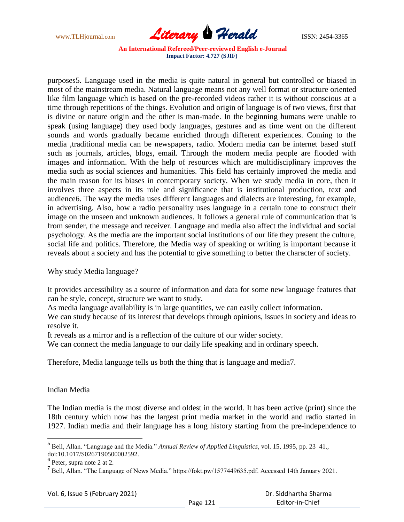

purposes5. Language used in the media is quite natural in general but controlled or biased in most of the mainstream media. Natural language means not any well format or structure oriented like film language which is based on the pre-recorded videos rather it is without conscious at a time through repetitions of the things. Evolution and origin of language is of two views, first that is divine or nature origin and the other is man-made. In the beginning humans were unable to speak (using language) they used body languages, gestures and as time went on the different sounds and words gradually became enriched through different experiences. Coming to the media ,traditional media can be newspapers, radio. Modern media can be internet based stuff such as journals, articles, blogs, email. Through the modern media people are flooded with images and information. With the help of resources which are multidisciplinary improves the media such as social sciences and humanities. This field has certainly improved the media and the main reason for its biases in contemporary society. When we study media in core, then it involves three aspects in its role and significance that is institutional production, text and audience6. The way the media uses different languages and dialects are interesting, for example, in advertising. Also, how a radio personality uses language in a certain tone to construct their image on the unseen and unknown audiences. It follows a general rule of communication that is from sender, the message and receiver. Language and media also affect the individual and social psychology. As the media are the important social institutions of our life they present the culture, social life and politics. Therefore, the Media way of speaking or writing is important because it reveals about a society and has the potential to give something to better the character of society.

Why study Media language?

It provides accessibility as a source of information and data for some new language features that can be style, concept, structure we want to study.

As media language availability is in large quantities, we can easily collect information.

We can study because of its interest that develops through opinions, issues in society and ideas to resolve it.

It reveals as a mirror and is a reflection of the culture of our wider society.

We can connect the media language to our daily life speaking and in ordinary speech.

Therefore, Media language tells us both the thing that is language and media7.

## Indian Media

The Indian media is the most diverse and oldest in the world. It has been active (print) since the 18th century which now has the largest print media market in the world and radio started in 1927. Indian media and their language has a long history starting from the pre-independence to

<sup>5</sup> Bell, Allan. "Language and the Media." *Annual Review of Applied Linguistics*, vol. 15, 1995, pp. 23–41., doi:10.1017/S0267190500002592.

<sup>&</sup>lt;sup>6</sup> Peter, supra note 2 at 2.

<sup>&</sup>lt;sup>7</sup> Bell, Allan. "The Language of News Media." https://fokt.pw/1577449635.pdf. Accessed 14th January 2021.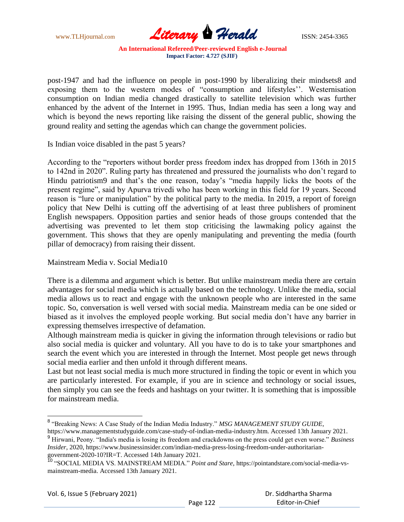

post-1947 and had the influence on people in post-1990 by liberalizing their mindsets8 and exposing them to the western modes of "consumption and lifestyles". Westernisation consumption on Indian media changed drastically to satellite television which was further enhanced by the advent of the Internet in 1995. Thus, Indian media has seen a long way and which is beyond the news reporting like raising the dissent of the general public, showing the ground reality and setting the agendas which can change the government policies.

Is Indian voice disabled in the past 5 years?

According to the "reporters without border press freedom index has dropped from 136th in 2015 to 142nd in 2020". Ruling party has threatened and pressured the journalists who don"t regard to Hindu patriotism9 and that's the one reason, today's "media happily licks the boots of the present regime", said by Apurva trivedi who has been working in this field for 19 years. Second reason is "lure or manipulation" by the political party to the media. In 2019, a report of foreign policy that New Delhi is cutting off the advertising of at least three publishers of prominent English newspapers. Opposition parties and senior heads of those groups contended that the advertising was prevented to let them stop criticising the lawmaking policy against the government. This shows that they are openly manipulating and preventing the media (fourth pillar of democracy) from raising their dissent.

Mainstream Media v. Social Media10

There is a dilemma and argument which is better. But unlike mainstream media there are certain advantages for social media which is actually based on the technology. Unlike the media, social media allows us to react and engage with the unknown people who are interested in the same topic. So, conversation is well versed with social media. Mainstream media can be one sided or biased as it involves the employed people working. But social media don"t have any barrier in expressing themselves irrespective of defamation.

Although mainstream media is quicker in giving the information through televisions or radio but also social media is quicker and voluntary. All you have to do is to take your smartphones and search the event which you are interested in through the Internet. Most people get news through social media earlier and then unfold it through different means.

Last but not least social media is much more structured in finding the topic or event in which you are particularly interested. For example, if you are in science and technology or social issues, then simply you can see the feeds and hashtags on your twitter. It is something that is impossible for mainstream media.

 $\overline{a}$ 

<sup>&</sup>lt;sup>8</sup> "Breaking News: A Case Study of the Indian Media Industry." MSG MANAGEMENT STUDY GUIDE, https://www.managementstudyguide.com/case-study-of-indian-media-industry.htm. Accessed 13th January 2021.

<sup>9</sup> Hirwani, Peony. "India's media is losing its freedom and crackdowns on the press could get even worse." *Business Insider*, 2020, https://www.businessinsider.com/indian-media-press-losing-freedom-under-authoritariangovernment-2020-10?IR=T. Accessed 14th January 2021.

<sup>10</sup> "SOCIAL MEDIA VS. MAINSTREAM MEDIA." *Point and Stare*, https://pointandstare.com/social-media-vsmainstream-media. Accessed 13th January 2021.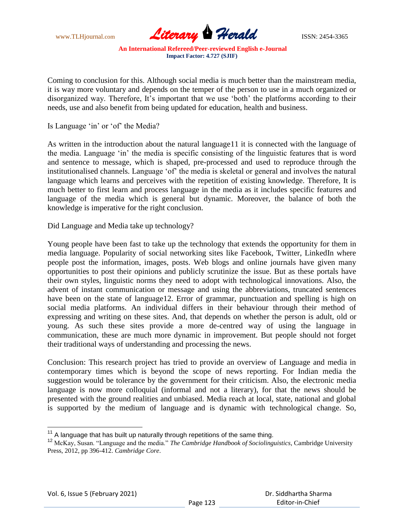

Coming to conclusion for this. Although social media is much better than the mainstream media, it is way more voluntary and depends on the temper of the person to use in a much organized or disorganized way. Therefore, It's important that we use 'both' the platforms according to their needs, use and also benefit from being updated for education, health and business.

Is Language 'in' or 'of' the Media?

As written in the introduction about the natural language11 it is connected with the language of the media. Language "in" the media is specific consisting of the linguistic features that is word and sentence to message, which is shaped, pre-processed and used to reproduce through the institutionalised channels. Language "of" the media is skeletal or general and involves the natural language which learns and perceives with the repetition of existing knowledge. Therefore, It is much better to first learn and process language in the media as it includes specific features and language of the media which is general but dynamic. Moreover, the balance of both the knowledge is imperative for the right conclusion.

Did Language and Media take up technology?

Young people have been fast to take up the technology that extends the opportunity for them in media language. Popularity of social networking sites like Facebook, Twitter, LinkedIn where people post the information, images, posts. Web blogs and online journals have given many opportunities to post their opinions and publicly scrutinize the issue. But as these portals have their own styles, linguistic norms they need to adopt with technological innovations. Also, the advent of instant communication or message and using the abbreviations, truncated sentences have been on the state of language12. Error of grammar, punctuation and spelling is high on social media platforms. An individual differs in their behaviour through their method of expressing and writing on these sites. And, that depends on whether the person is adult, old or young. As such these sites provide a more de-centred way of using the language in communication, these are much more dynamic in improvement. But people should not forget their traditional ways of understanding and processing the news.

Conclusion: This research project has tried to provide an overview of Language and media in contemporary times which is beyond the scope of news reporting. For Indian media the suggestion would be tolerance by the government for their criticism. Also, the electronic media language is now more colloquial (informal and not a literary), for that the news should be presented with the ground realities and unbiased. Media reach at local, state, national and global is supported by the medium of language and is dynamic with technological change. So,

 $11$  A language that has built up naturally through repetitions of the same thing.

<sup>12</sup> McKay, Susan. "Language and the media." *The Cambridge Handbook of Sociolinguistics*, Cambridge University Press, 2012, pp 396-412. *Cambridge Core*.